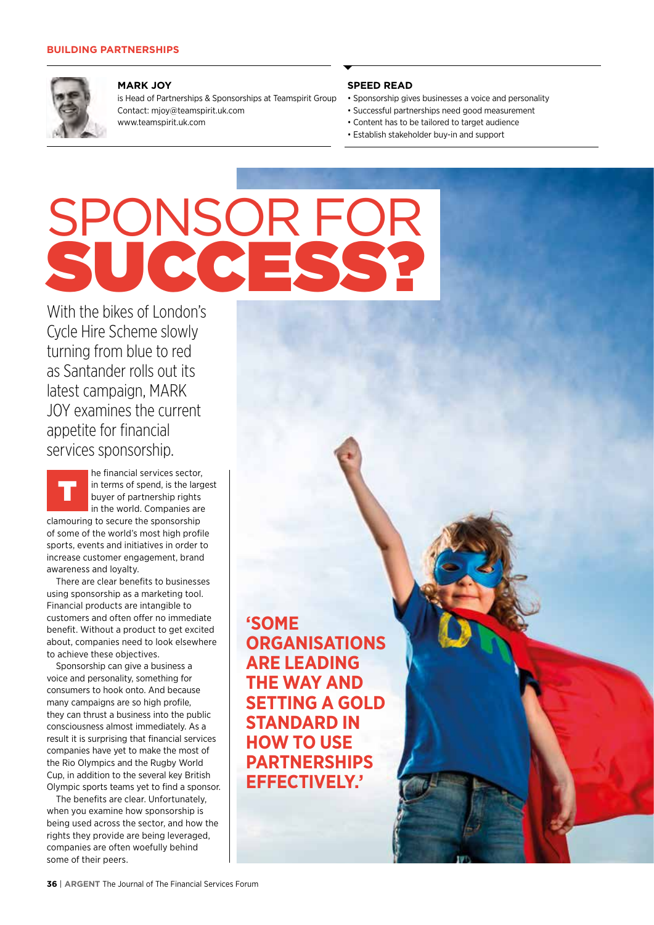

#### **MARK JOY**

is Head of Partnerships & Sponsorships at Teamspirit Group Contact: mjoy@teamspirit.uk.com www.teamspirit.uk.com

#### **SPEED READ**

- Sponsorship gives businesses a voice and personality
- Successful partnerships need good measurement
- Content has to be tailored to target audience
- Establish stakeholder buy-in and support

# SPONSOR FOR SUCCESS?

With the bikes of London's Cycle Hire Scheme slowly turning from blue to red as Santander rolls out its latest campaign, MARK JOY examines the current appetite for financial services sponsorship.

T he financial services sector, in terms of spend, is the largest buyer of partnership rights in the world. Companies are clamouring to secure the sponsorship of some of the world's most high profile sports, events and initiatives in order to increase customer engagement, brand awareness and loyalty.

There are clear benefits to businesses using sponsorship as a marketing tool. Financial products are intangible to customers and often offer no immediate benefit. Without a product to get excited about, companies need to look elsewhere to achieve these objectives.

Sponsorship can give a business a voice and personality, something for consumers to hook onto. And because many campaigns are so high profile, they can thrust a business into the public consciousness almost immediately. As a result it is surprising that financial services companies have yet to make the most of the Rio Olympics and the Rugby World Cup, in addition to the several key British Olympic sports teams yet to find a sponsor.

The benefits are clear. Unfortunately, when you examine how sponsorship is being used across the sector, and how the rights they provide are being leveraged, companies are often woefully behind some of their peers.

**'SOME ORGANISATIONS ARE LEADING THE WAY AND SETTING A GOLD STANDARD IN HOW TO USE PARTNERSHIPS EFFECTIVELY.'**